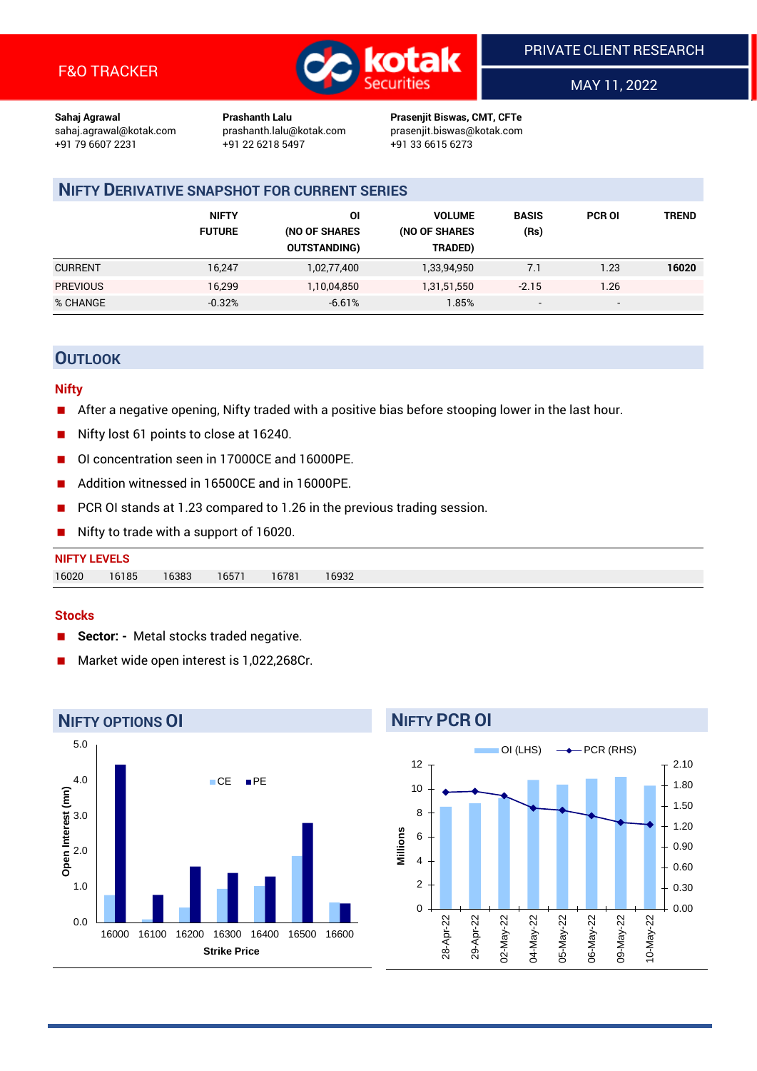

MAY 11, 2022

**Sahaj Agrawal Prashanth Lalu Prasenjit Biswas, CMT, CFTe** +91 79 6607 2231 +91 22 6218 5497 +91 33 6615 6273

sahaj.agrawal@kotak.com [prashanth.lalu@kotak.com](mailto:prashanth.lalu@kotak.com) prasenjit.biswas@kotak.com

# **NIFTY DERIVATIVE SNAPSHOT FOR CURRENT SERIES**

|                 | <b>NIFTY</b><br><b>FUTURE</b> | ΟI<br>(NO OF SHARES<br><b>OUTSTANDING)</b> | <b>VOLUME</b><br>(NO OF SHARES<br>TRADED) | <b>BASIS</b><br>(Rs)     | <b>PCR OI</b> | TREND |
|-----------------|-------------------------------|--------------------------------------------|-------------------------------------------|--------------------------|---------------|-------|
| <b>CURRENT</b>  | 16.247                        | 1,02,77,400                                | 1,33,94,950                               | 7.1                      | 1.23          | 16020 |
| <b>PREVIOUS</b> | 16,299                        | 1,10,04,850                                | 1,31,51,550                               | $-2.15$                  | 1.26          |       |
| % CHANGE        | $-0.32%$                      | $-6.61%$                                   | $1.85\%$                                  | $\overline{\phantom{a}}$ | -             |       |

# **OUTLOOK**

#### **Nifty**

- After a negative opening, Nifty traded with a positive bias before stooping lower in the last hour.
- Nifty lost 61 points to close at 16240.
- OI concentration seen in 17000CE and 16000PE.
- Addition witnessed in 16500CE and in 16000PE.
- PCR OI stands at 1.23 compared to 1.26 in the previous trading session.
- Nifty to trade with a support of 16020.

| 16020<br>16185 | <b>NIFTY LEVELS</b> |                |       |       |  |
|----------------|---------------------|----------------|-------|-------|--|
|                |                     | 16571<br>16383 | 16781 | 16932 |  |

#### **Stocks**

- **Sector:** Metal stocks traded negative.
- Market wide open interest is 1,022,268Cr.



# **NIFTY PCR OI**

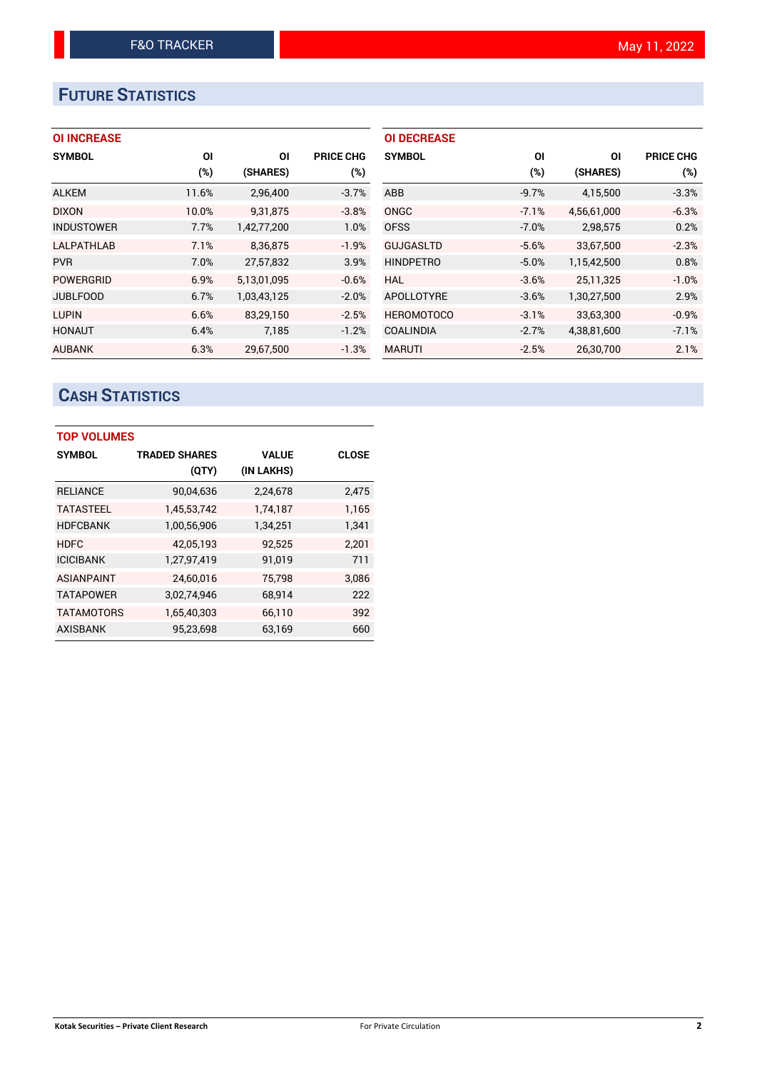# **FUTURE STATISTICS**

## **OI INCREASE**

| <b>SYMBOL</b>     | ΟI     | ΟI          | <b>PRICE CHG</b> |
|-------------------|--------|-------------|------------------|
|                   | $(\%)$ | (SHARES)    | (%)              |
| <b>ALKEM</b>      | 11.6%  | 2,96,400    | $-3.7%$          |
| <b>DIXON</b>      | 10.0%  | 9,31,875    | $-3.8%$          |
| <b>INDUSTOWER</b> | 7.7%   | 1,42,77,200 | 1.0%             |
| <b>LALPATHLAB</b> | 7.1%   | 8.36.875    | $-1.9%$          |
| <b>PVR</b>        | 7.0%   | 27,57,832   | 3.9%             |
| <b>POWERGRID</b>  | 6.9%   | 5,13,01,095 | $-0.6%$          |
| <b>JUBLFOOD</b>   | 6.7%   | 1,03,43,125 | $-2.0%$          |
| <b>LUPIN</b>      | 6.6%   | 83,29,150   | $-2.5%$          |
| <b>HONAUT</b>     | 6.4%   | 7.185       | $-1.2%$          |
| <b>AUBANK</b>     | 6.3%   | 29,67,500   | $-1.3%$          |

| <b>OI DECREASE</b> |         |             |                  |
|--------------------|---------|-------------|------------------|
| <b>SYMBOL</b>      | ΟI      | ΟI          | <b>PRICE CHG</b> |
|                    | (%)     | (SHARES)    | (%)              |
| ABB                | $-9.7%$ | 4,15,500    | $-3.3%$          |
| ONGC               | $-7.1%$ | 4,56,61,000 | $-6.3%$          |
| <b>OFSS</b>        | $-7.0%$ | 2,98,575    | 0.2%             |
| <b>GUJGASLTD</b>   | $-5.6%$ | 33,67,500   | $-2.3%$          |
| <b>HINDPETRO</b>   | $-5.0%$ | 1,15,42,500 | 0.8%             |
| HAL                | $-3.6%$ | 25,11,325   | $-1.0%$          |
| APOLLOTYRE         | $-3.6%$ | 1,30,27,500 | 2.9%             |
| <b>HEROMOTOCO</b>  | $-3.1%$ | 33,63,300   | $-0.9%$          |
| <b>COALINDIA</b>   | $-2.7%$ | 4,38,81,600 | $-7.1%$          |
| <b>MARUTI</b>      | $-2.5%$ | 26.30.700   | 2.1%             |

# **CASH STATISTICS**

| <b>TOP VOLUMES</b> |                      |              |              |  |  |  |  |
|--------------------|----------------------|--------------|--------------|--|--|--|--|
| <b>SYMBOL</b>      | <b>TRADED SHARES</b> | <b>VALUE</b> | <b>CLOSE</b> |  |  |  |  |
|                    | (QTY)                | (IN LAKHS)   |              |  |  |  |  |
| <b>RELIANCE</b>    | 90,04,636            | 2,24,678     | 2,475        |  |  |  |  |
| <b>TATASTEEL</b>   | 1,45,53,742          | 1,74,187     | 1,165        |  |  |  |  |
| <b>HDFCBANK</b>    | 1,00,56,906          | 1,34,251     | 1,341        |  |  |  |  |
| <b>HDFC</b>        | 42,05,193            | 92,525       | 2,201        |  |  |  |  |
| <b>ICICIBANK</b>   | 1,27,97,419          | 91,019       | 711          |  |  |  |  |
| <b>ASIANPAINT</b>  | 24,60,016            | 75,798       | 3,086        |  |  |  |  |
| <b>TATAPOWER</b>   | 3,02,74,946          | 68,914       | 222          |  |  |  |  |
| <b>TATAMOTORS</b>  | 1,65,40,303          | 66,110       | 392          |  |  |  |  |
| <b>AXISBANK</b>    | 95,23,698            | 63,169       | 660          |  |  |  |  |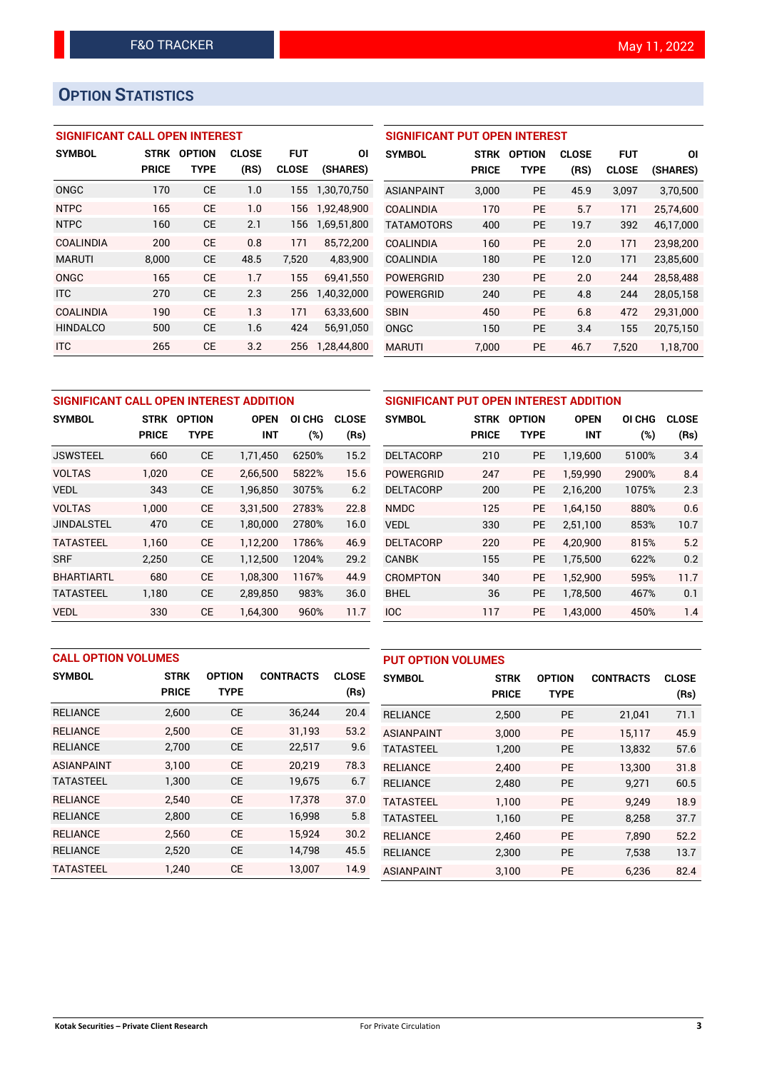# **OPTION STATISTICS**

## **SIGNIFICANT CALL OPEN INTEREST**

| <b>SYMBOL</b>    | <b>STRK</b>  | <b>OPTION</b> | <b>CLOSE</b> | <b>FUT</b>   | ΟI          |
|------------------|--------------|---------------|--------------|--------------|-------------|
|                  | <b>PRICE</b> | TYPE          | (RS)         | <b>CLOSE</b> | (SHARES)    |
| ONGC             | 170          | <b>CE</b>     | 1.0          | 155          | 1,30,70,750 |
| <b>NTPC</b>      | 165          | <b>CE</b>     | 1.0          | 156          | 1,92,48,900 |
| <b>NTPC</b>      | 160          | <b>CE</b>     | 2.1          | 156          | 1,69,51,800 |
| <b>COALINDIA</b> | 200          | <b>CF</b>     | 0.8          | 171          | 85,72,200   |
| <b>MARUTI</b>    | 8,000        | <b>CE</b>     | 48.5         | 7,520        | 4,83,900    |
| ONGC             | 165          | <b>CE</b>     | 1.7          | 155          | 69.41.550   |
| <b>ITC</b>       | 270          | <b>CE</b>     | 2.3          | 256          | 1,40,32,000 |
| <b>COALINDIA</b> | 190          | <b>CE</b>     | 1.3          | 171          | 63,33,600   |
| <b>HINDALCO</b>  | 500          | <b>CE</b>     | 1.6          | 424          | 56,91,050   |
| <b>ITC</b>       | 265          | <b>CE</b>     | 3.2          | 256          | 1,28,44,800 |

| <b>SIGNIFICANT PUT OPEN INTEREST</b> |              |               |              |              |           |  |  |  |
|--------------------------------------|--------------|---------------|--------------|--------------|-----------|--|--|--|
| <b>SYMBOL</b>                        | <b>STRK</b>  | <b>OPTION</b> | <b>CLOSE</b> | FUT          | ΟI        |  |  |  |
|                                      | <b>PRICE</b> | <b>TYPE</b>   | (RS)         | <b>CLOSE</b> | (SHARES)  |  |  |  |
| <b>ASIANPAINT</b>                    | 3,000        | <b>PE</b>     | 45.9         | 3,097        | 3,70,500  |  |  |  |
| COALINDIA                            | 170          | <b>PE</b>     | 5.7          | 171          | 25,74,600 |  |  |  |
| <b>TATAMOTORS</b>                    | 400          | <b>PE</b>     | 19.7         | 392          | 46,17,000 |  |  |  |
| <b>COALINDIA</b>                     | 160          | <b>PE</b>     | 2.0          | 171          | 23,98,200 |  |  |  |
| <b>COALINDIA</b>                     | 180          | <b>PE</b>     | 12.0         | 171          | 23,85,600 |  |  |  |
| POWERGRID                            | 230          | <b>PE</b>     | 2.0          | 244          | 28,58,488 |  |  |  |
| <b>POWERGRID</b>                     | 240          | <b>PE</b>     | 4.8          | 244          | 28,05,158 |  |  |  |
| <b>SBIN</b>                          | 450          | <b>PE</b>     | 6.8          | 472          | 29,31,000 |  |  |  |
| ONGC                                 | 150          | <b>PE</b>     | 3.4          | 155          | 20,75,150 |  |  |  |
| <b>MARUTI</b>                        | 7.000        | PE            | 46.7         | 7.520        | 1,18,700  |  |  |  |

| SIGNIFICANT CALL OPEN INTEREST ADDITION |              |               |             |        |              | <b>SIGNIFICANT PUT OPEN II</b> |              |    |
|-----------------------------------------|--------------|---------------|-------------|--------|--------------|--------------------------------|--------------|----|
| <b>SYMBOL</b>                           | <b>STRK</b>  | <b>OPTION</b> | <b>OPEN</b> | OI CHG | <b>CLOSE</b> | <b>SYMBOL</b>                  | <b>STRK</b>  | 0P |
|                                         | <b>PRICE</b> | <b>TYPE</b>   | <b>INT</b>  | (%)    | (Rs)         |                                | <b>PRICE</b> |    |
| <b>JSWSTEEL</b>                         | 660          | <b>CE</b>     | 1,71,450    | 6250%  | 15.2         | <b>DELTACORP</b>               | 210          |    |
| <b>VOLTAS</b>                           | 1.020        | <b>CE</b>     | 2,66,500    | 5822%  | 15.6         | <b>POWERGRID</b>               | 247          |    |
| <b>VEDL</b>                             | 343          | <b>CE</b>     | 1,96,850    | 3075%  | 6.2          | <b>DELTACORP</b>               | 200          |    |
| <b>VOLTAS</b>                           | 1,000        | <b>CE</b>     | 3,31,500    | 2783%  | 22.8         | <b>NMDC</b>                    | 125          |    |
| <b>JINDALSTEL</b>                       | 470          | <b>CE</b>     | 1,80,000    | 2780%  | 16.0         | <b>VEDL</b>                    | 330          |    |
| <b>TATASTEEL</b>                        | 1.160        | <b>CE</b>     | 1,12,200    | 1786%  | 46.9         | <b>DELTACORP</b>               | 220          |    |
| <b>SRF</b>                              | 2,250        | <b>CE</b>     | 1,12,500    | 1204%  | 29.2         | <b>CANBK</b>                   | 155          |    |
| <b>BHARTIARTL</b>                       | 680          | <b>CE</b>     | 1.08.300    | 1167%  | 44.9         | <b>CROMPTON</b>                | 340          |    |
| <b>TATASTEEL</b>                        | 1.180        | <b>CE</b>     | 2,89,850    | 983%   | 36.0         | <b>BHEL</b>                    | 36           |    |
| <b>VEDL</b>                             | 330          | <b>CE</b>     | 1,64,300    | 960%   | 11.7         | IOC                            | 117          |    |

| SIGNIFICANT PUT OPEN INTEREST ADDITION |                                                       |             |            |              |      |  |  |  |  |
|----------------------------------------|-------------------------------------------------------|-------------|------------|--------------|------|--|--|--|--|
| <b>SYMBOL</b>                          | <b>STRK</b><br><b>OPTION</b><br><b>OPEN</b><br>OI CHG |             |            | <b>CLOSE</b> |      |  |  |  |  |
|                                        | <b>PRICE</b>                                          | <b>TYPE</b> | <b>INT</b> | $(\%)$       | (Rs) |  |  |  |  |
| <b>DELTACORP</b>                       | 210                                                   | <b>PE</b>   | 1,19,600   | 5100%        | 3.4  |  |  |  |  |
| POWERGRID                              | 247                                                   | <b>PE</b>   | 1,59,990   | 2900%        | 8.4  |  |  |  |  |
| <b>DELTACORP</b>                       | 200                                                   | <b>PE</b>   | 2,16,200   | 1075%        | 2.3  |  |  |  |  |
| <b>NMDC</b>                            | 125                                                   | <b>PE</b>   | 1,64,150   | 880%         | 0.6  |  |  |  |  |
| <b>VEDL</b>                            | 330                                                   | <b>PE</b>   | 2,51,100   | 853%         | 10.7 |  |  |  |  |
| <b>DELTACORP</b>                       | 220                                                   | <b>PE</b>   | 4.20.900   | 815%         | 5.2  |  |  |  |  |
| <b>CANBK</b>                           | 155                                                   | <b>PE</b>   | 1,75,500   | 622%         | 0.2  |  |  |  |  |
| <b>CROMPTON</b>                        | 340                                                   | <b>PE</b>   | 1,52,900   | 595%         | 11.7 |  |  |  |  |
| <b>BHEL</b>                            | 36                                                    | <b>PE</b>   | 1,78,500   | 467%         | 0.1  |  |  |  |  |
| <b>IOC</b>                             | 117                                                   | <b>PE</b>   | 1,43,000   | 450%         | 1.4  |  |  |  |  |

|                   | <b>CALL OPTION VOLUMES</b> |               |                  |              | <b>PUT OPTION VOLUMES</b> |              |               |                  |              |
|-------------------|----------------------------|---------------|------------------|--------------|---------------------------|--------------|---------------|------------------|--------------|
| <b>SYMBOL</b>     | <b>STRK</b>                | <b>OPTION</b> | <b>CONTRACTS</b> | <b>CLOSE</b> | <b>SYMBOL</b>             | <b>STRK</b>  | <b>OPTION</b> | <b>CONTRACTS</b> | <b>CLOSE</b> |
|                   | <b>PRICE</b>               | <b>TYPE</b>   |                  | (Rs)         |                           | <b>PRICE</b> | <b>TYPE</b>   |                  | (Rs)         |
| <b>RELIANCE</b>   | 2,600                      | <b>CE</b>     | 36,244           | 20.4         | <b>RELIANCE</b>           | 2,500        | <b>PE</b>     | 21,041           | 71.1         |
| <b>RELIANCE</b>   | 2,500                      | <b>CE</b>     | 31,193           | 53.2         | <b>ASIANPAINT</b>         | 3.000        | <b>PE</b>     | 15.117           | 45.9         |
| <b>RELIANCE</b>   | 2,700                      | <b>CE</b>     | 22,517           | 9.6          | <b>TATASTEEL</b>          | 1,200        | <b>PE</b>     | 13,832           | 57.6         |
| <b>ASIANPAINT</b> | 3,100                      | <b>CE</b>     | 20,219           | 78.3         | <b>RELIANCE</b>           | 2.400        | <b>PE</b>     | 13.300           | 31.8         |
| <b>TATASTEEL</b>  | 1,300                      | <b>CE</b>     | 19,675           | 6.7          | <b>RELIANCE</b>           | 2,480        | <b>PE</b>     | 9,271            | 60.5         |
| <b>RELIANCE</b>   | 2,540                      | <b>CE</b>     | 17,378           | 37.0         | <b>TATASTEEL</b>          | 1.100        | <b>PE</b>     | 9.249            | 18.9         |
| <b>RELIANCE</b>   | 2,800                      | <b>CE</b>     | 16,998           | 5.8          | <b>TATASTEEL</b>          | 1,160        | <b>PE</b>     | 8,258            | 37.7         |
| <b>RELIANCE</b>   | 2.560                      | <b>CE</b>     | 15.924           | 30.2         | <b>RELIANCE</b>           | 2.460        | <b>PE</b>     | 7.890            | 52.2         |
| <b>RELIANCE</b>   | 2,520                      | <b>CE</b>     | 14,798           | 45.5         | <b>RELIANCE</b>           | 2,300        | <b>PE</b>     | 7,538            | 13.7         |
| <b>TATASTEEL</b>  | 1.240                      | <b>CE</b>     | 13,007           | 14.9         | <b>ASIANPAINT</b>         | 3,100        | PE            | 6,236            | 82.4         |

#### **Kotak Securities – Private Client Research** For Private Circulation **3**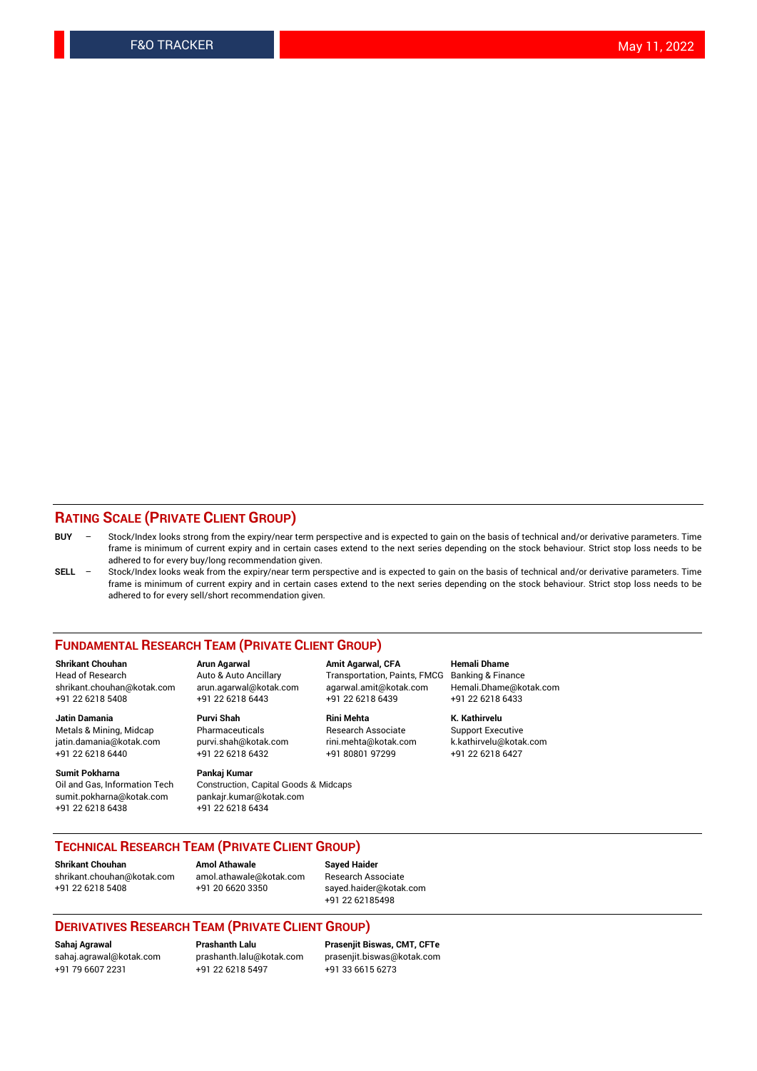### **RATING SCALE (PRIVATE CLIENT GROUP)**

- **BUY**  Stock/Index looks strong from the expiry/near term perspective and is expected to gain on the basis of technical and/or derivative parameters. Time frame is minimum of current expiry and in certain cases extend to the next series depending on the stock behaviour. Strict stop loss needs to be adhered to for every buy/long recommendation given.
- **SELL** Stock/Index looks weak from the expiry/near term perspective and is expected to gain on the basis of technical and/or derivative parameters. Time frame is minimum of current expiry and in certain cases extend to the next series depending on the stock behaviour. Strict stop loss needs to be adhered to for every sell/short recommendation given.

#### **FUNDAMENTAL RESEARCH TEAM (PRIVATE CLIENT GROUP)**

**Shrikant Chouhan Arun Agarwal Amit Agarwal, CFA Hemali Dhame** shrikant.chouhan@kotak.com arun.agarwal@kotak.com agarwal.amit@kotak.com Hemali.Dhame@kotak.com +91 22 6218 5408 +91 22 6218 6443 +91 22 6218 6439 +91 22 6218 6433

Metals & Mining, Midcap Pharmaceuticals Pharmaceuticals Research Associate Support Executive<br>
iatin.damania@kotak.com purvi.shah@kotak.com rini.mehta@kotak.com k.kathirvelu@kotak.com jatin.damania@kotak.com

**Sumit Pokharna** Pankaj Kumar<br>Oil and Gas, Information Tech Construction, sumit.pokharna@kotak.com pankajr.kumar@kotak.com +91 22 6218 6438 +91 22 6218 6434

Construction, Capital Goods & Midcaps

Transportation, Paints, FMCG

**Jatin Damania Purvi Shah Rini Mehta K. Kathirvelu** +91 22 6218 6440 +91 22 6218 6432 +91 80801 97299 +91 22 6218 6427

## **TECHNICAL RESEARCH TEAM (PRIVATE CLIENT GROUP)**

**Shrikant Chouhan Amol Athawale Sayed Haider** [shrikant.chouhan@kotak.com](mailto:shrikant.chouhan@kotak.com) [amol.athawale@kotak.com](mailto:amol.athawale@kotak.com) Research Associate +91 22 6218 5408 +91 20 6620 3350 [sayed.haider@kotak.com](mailto:sayed.haider@kotak.com)

+91 22 62185498

#### **DERIVATIVES RESEARCH TEAM (PRIVATE CLIENT GROUP)**

+91 79 6607 2231 +91 22 6218 5497 +91 33 6615 6273

**Sahaj Agrawal Prashanth Lalu Prasenjit Biswas, CMT, CFTe** [prasenjit.biswas@kotak.com](mailto:prasenjit.biswas@kotak.com)